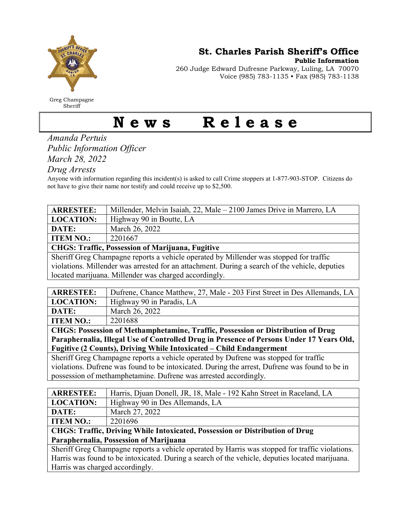

Greg Champagne Sheriff

St. Charles Parish Sheriff's Office

Public Information

260 Judge Edward Dufresne Parkway, Luling, LA 70070 Voice (985) 783-1135 • Fax (985) 783-1138

## News Release

Amanda Pertuis Public Information Officer March 28, 2022

Drug Arrests

Anyone with information regarding this incident(s) is asked to call Crime stoppers at 1-877-903-STOP. Citizens do not have to give their name nor testify and could receive up to \$2,500.

| <b>ARRESTEE:</b>                                                                               | Millender, Melvin Isaiah, 22, Male – 2100 James Drive in Marrero, LA |  |
|------------------------------------------------------------------------------------------------|----------------------------------------------------------------------|--|
| <b>LOCATION:</b>                                                                               | Highway 90 in Boutte, LA                                             |  |
| DATE:                                                                                          | March 26, 2022                                                       |  |
| <b>ITEM NO.:</b>                                                                               | 2201667                                                              |  |
| <b>CHGS: Traffic, Possession of Marijuana, Fugitive</b>                                        |                                                                      |  |
| Sheriff Greg Champagne reports a vehicle operated by Millender was stopped for traffic         |                                                                      |  |
| violations. Millender was arrested for an attachment. During a search of the vehicle, deputies |                                                                      |  |

located marijuana. Millender was charged accordingly.

| <b>ARRESTEE:</b> | Dufrene, Chance Matthew, 27, Male - 203 First Street in Des Allemands, LA |
|------------------|---------------------------------------------------------------------------|
| <b>LOCATION:</b> | Highway 90 in Paradis, LA                                                 |
| DATE:            | March 26, 2022                                                            |
| <b>ITEM NO.:</b> | 2201688                                                                   |

CHGS: Possession of Methamphetamine, Traffic, Possession or Distribution of Drug Paraphernalia, Illegal Use of Controlled Drug in Presence of Persons Under 17 Years Old, Fugitive (2 Counts), Driving While Intoxicated – Child Endangerment

Sheriff Greg Champagne reports a vehicle operated by Dufrene was stopped for traffic violations. Dufrene was found to be intoxicated. During the arrest, Dufrene was found to be in possession of methamphetamine. Dufrene was arrested accordingly.

| <b>ARRESTEE:</b>                                                                                | Harris, Djuan Donell, JR, 18, Male - 192 Kahn Street in Raceland, LA |  |
|-------------------------------------------------------------------------------------------------|----------------------------------------------------------------------|--|
| <b>LOCATION:</b>                                                                                | Highway 90 in Des Allemands, LA                                      |  |
| DATE:                                                                                           | March 27, 2022                                                       |  |
| <b>ITEM NO.:</b>                                                                                | 2201696                                                              |  |
| <b>CHGS: Traffic, Driving While Intoxicated, Possession or Distribution of Drug</b>             |                                                                      |  |
| Paraphernalia, Possession of Marijuana                                                          |                                                                      |  |
| Sheriff Greg Champagne reports a vehicle operated by Harris was stopped for traffic violations. |                                                                      |  |
|                                                                                                 |                                                                      |  |

Harris was found to be intoxicated. During a search of the vehicle, deputies located marijuana. Harris was charged accordingly.